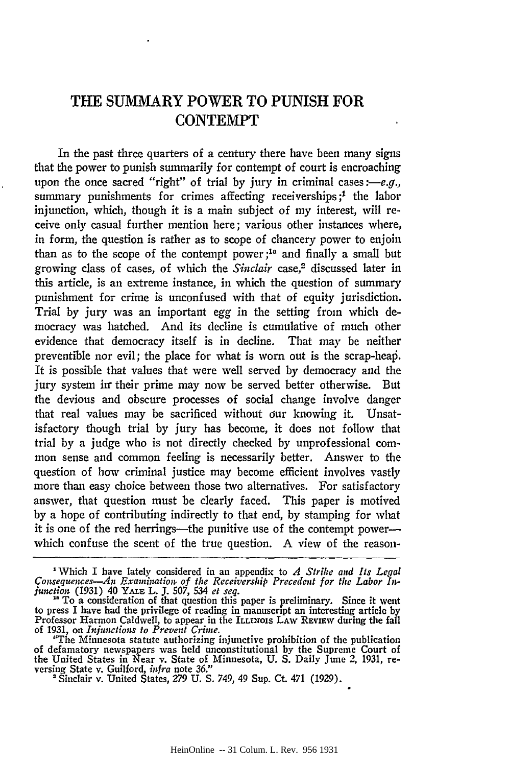# THE SUMMARY POWER TO **PUNISH** FOR **CONTEMPT**

In the past three quarters of a century there have been many signs that the power to punish summarily for contempt of court is encroaching upon the once sacred "right" of trial by jury in criminal cases *:-e.g.*, summary punishments for crimes affecting receiverships;<sup>1</sup> the labor injunction, which, though it is a main subject of my interest, will receive only casual further mention here; various other instances where, in form, the question is rather as to scope of chancery power to enjoin than as to the scope of the contempt power;<sup>1a</sup> and finally a small but growing class of cases, of which the *Sinclair* case,<sup>2</sup> discussed later in this article, is an extreme instance, in which the question of summary punishment for crime is unconfused with that of equity jurisdiction. Trial by jury was an important egg in the setting from which democracy was hatched. And its decline is cumulative of much other evidence that democracy itself is in decline. That may be neither preventible nor evil; the place for what is worn out is the scrap-heap. It is possible that values that were well served **by** democracy and the jury system **in"** their prime may now be served better otherwise. But the devious and obscure processes of social change involve danger that real values may be sacrificed without our knowing it. Unsatisfactory though trial **by** jury has become, it does not follow that trial by a judge who is not directly checked by unprofessional common sense and common feeling is necessarily better. Answer to the question of how criminal justice may become efficient involves vastly more than easy choice between those two alternatives. For satisfactory answer, that question must be clearly faced. This paper is motived by a hope of contributing indirectly to that end, by stamping for what it is one of the red herrings-the punitive use of the contempt powerwhich confuse the scent of the true question. A view of the reason-

' Which I have lately considered in an appendix to *A Strike and Its Legal Consequences-An Examination, of the Receivership Precedent for the Labor Injunction* (1931) 40 **YAZ** L. **J.** 507, 534 *et seq.* **"** To a consideration of that question this paper is preliminary. Since it went

to press I have had the privilege of reading in manuscript an interesting article by Professor Harmon Caldwell, to appear in the **ILLxIois LAw REviEW** during the fall of 1931, on *Injunctions to Prevent Crime.*

<sup>&</sup>quot;The Minnesota statute authorizing injunctive prohibition of the publication of defamatory newspapers was held unconstitutional **by** the Supreme Court of the United States in Near v. State of Minnesota, U. S. Daily June 2, 1931, re- versing State v. Guilford, *infra* note 36."

<sup>&#</sup>x27;Sinclair v. United States, 279 U. **S.** 749, 49 Sup. Ct. 471 (1929).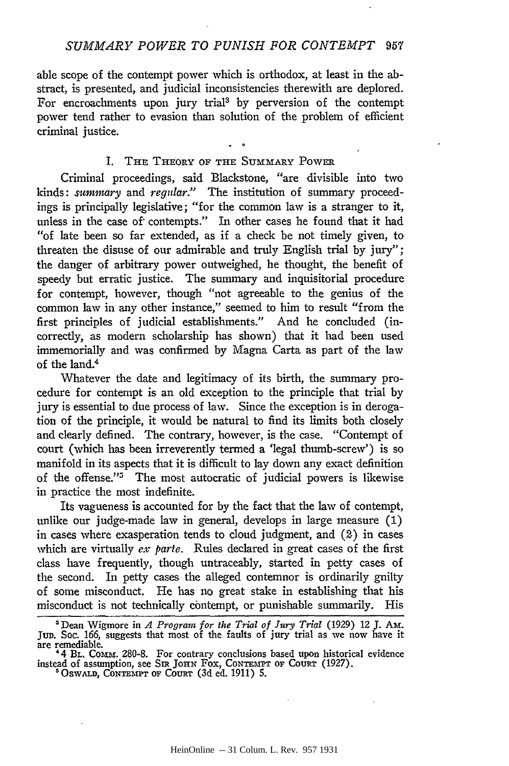# *SUMMARY POWER TO PUNISH FOR CONTEMPT 957*

able scope of the contempt power which is orthodox, at least in the abstract, is presented, and judicial inconsistencies therewith are deplored. For encroachments upon jury trial3 by perversion of the contempt power tend rather to evasion than solution of the problem of efficient criminal justice.

#### I. THE THEORY **OF THE SUMMARY** POWER

Criminal proceedings, said Blackstone, "are divisible into two kinds: summary and *regular."* The institution of summary proceedings is principally legislative; "for the common law is a stranger to it, unless in the case of contempts." In other cases he found that it had "of late been so far extended, as if a check be not timely given, to threaten the disuse of our admirable and truly English trial by jury"; the danger of arbitrary power outweighed, he thought, the benefit of speedy but erratic justice. The summary and inquisitorial procedure for contempt, however, though "not agreeable to the genius of the common law in any other instance," seemed to him to result "from the first principles of judicial establishments." And he concluded (incorrectly, as modern scholarship has shown) that it had been used immemorially and was confirmed by Magna Carta as part of the law of the land.4

Whatever the date and legitimacy of its birth, the summary procedure for contempt is an old exception to the principle that trial by jury is essential to due process of law. Since the exception is in derogation of the principle, it would be natural to find its limits both closely and clearly defined. The contrary, however, is the case. "Contempt of court (which has been irreverently termed a 'legal thumb-screw') is so manifold in its aspects that it is difficult to lay down any exact definition of the offense."<sup>5</sup> The most autocratic of judicial powers is likewise in practice the most indefinite.

Its vagueness is accounted for by the fact that the law of contempt, unlike our judge-made law in general, develops in large measure (1) in cases where exasperation tends to cloud judgment, and (2) in cases which are virtually *ex parte*. Rules declared in great cases of the first class have frequently, though untraceably, started in petty cases of the second. In petty cases the alleged contemnor is ordinarily gnilty of some misconduct. He has no great stake in establishing that his misconduct is not technically contempt, or punishable summarily. His

<sup>&#</sup>x27;Dean Wigmore in *A Program for the Trial of Jhry Trial* **(1929)** 12 **J. Am.** JuD. Soc. 166, suggests that most of the faults of jury trial as we now have it are remediable.

**<sup>4</sup> BL.** Com. 280-8. For contrary conclusions based upon historical evidence instead of assumption, see Sm **JoHN** Fox, **CONTEMPr OF COURT** (1927). 'OsWALD, **CONTEMPT** OF COURT **(3d** ed. 1911) 5.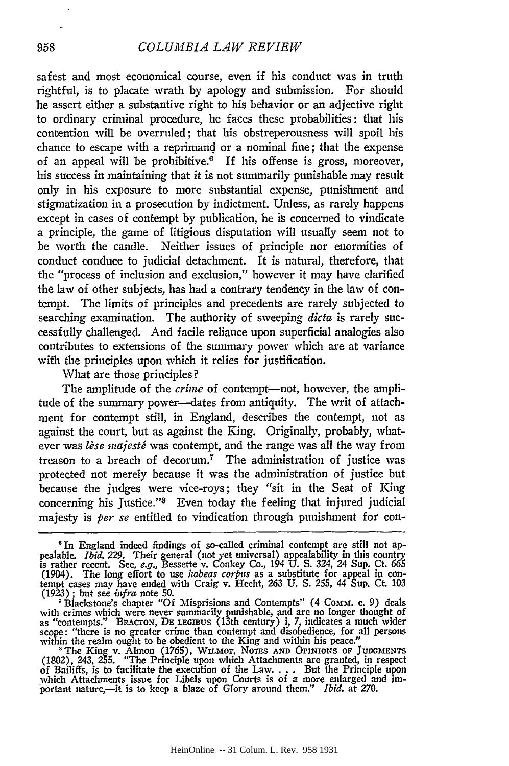## *COLUMBIA LAW REVIEW*

safest and most economical course, even if his conduct was in truth rightful, is to placate wrath by apology and submission. For should he assert either a substantive right to his behavior or an adjective right to ordinary criminal procedure, he faces these probabilities: that his contention will be overruled; that his obstreperousness will spoil his chance to escape with a reprimand or a nominal fine; that the expense of an appeal will be prohibitive. $6$  If his offense is gross, moreover, his success in maintaining that it is not summarily punishable may result only in his exposure to more substantial expense, punishment and stigmatization in a prosecution by indictment. Unless, as rarely happens except in cases of contempt by publication, he is concerned to vindicate a principle, the game of litigious disputation will usually seem not to be worth the candle. Neither issues of principle nor enormities of conduct conduce to judicial detachment. It is natural, therefore, that the "process of inclusion and exclusion," however it may have clarified the law of other subjects, has had a contrary tendency in the law of contempt. The limits of principles and precedents are rarely subjected to searching examination. The authority of sweeping *dicta* is rarely successfully challenged. And facile reliance upon superficial analogies also contributes to extensions of the summary power which are at variance with the principles upon which it relies for justification.

What are those principles?

The amplitude of the *crime* of contempt-not, however, the amplitude of the summary power-dates from antiquity. The writ of attachment for contempt still, in England, describes the contempt, not as against the court, but as against the King. Originally, probably, whatever was *lèse majesté* was contempt, and the range was all the way from treason to a breach of decorum.<sup>7</sup> The administration of justice was protected not merely because it was the administration of justice but because the judges were vice-roys; they "sit in the Seat of King concerning his Justice."<sup>8</sup> Even today the feeling that injured judicial majesty is *per se* entitled to vindication through punishment for con-

with crimes which were never summarily punishable, and are no longer thought of as "contempts." **BRAcTON, DE LEGIBUS** (13th century) i, **7,** indicates a much wider scope: "there is no greater crime than contempt and disobedience, for all persons within the realm ought to be obedient to the King and within his peace."<br><sup>8</sup> The King v. Almon (1765), WILMOT, NOTES AND OPINIONS OF **JUDGMENTS** 

(1802), 243, 255. "The Principle upon which Attachments are granted, in respect of Bailiffs, is to facilitate the execution of the Law.... But the Principle upor which Attachments issue for Libels upon Courts is of a more enlarged and important nature.—it is to keep a blaze of Glory around them." *Ib* 

<sup>&#</sup>x27;In England indeed findings of so-called criminal contempt are still not appealable. *Ibid.* **229.** Their general (not yet universal) appealability in this country is rather recent. See, *e.g.,* Bessette v. Conkey Co., 194 **U. S.** 324, 24 Sup. Ct. **<sup>665</sup>** (1904). The long effort to use *habeas corpus* as a substitute for appeal in con- tempt cases may have ended with Craig v. Hecht, *263* **U. S.** 255, 44 Sup. Ct. **<sup>103</sup> (1923)** ; but see *infra* note **50. ,** Blackstone's chapter "Of Misprisions and Contempts" (4 Comm. c. **9)** deals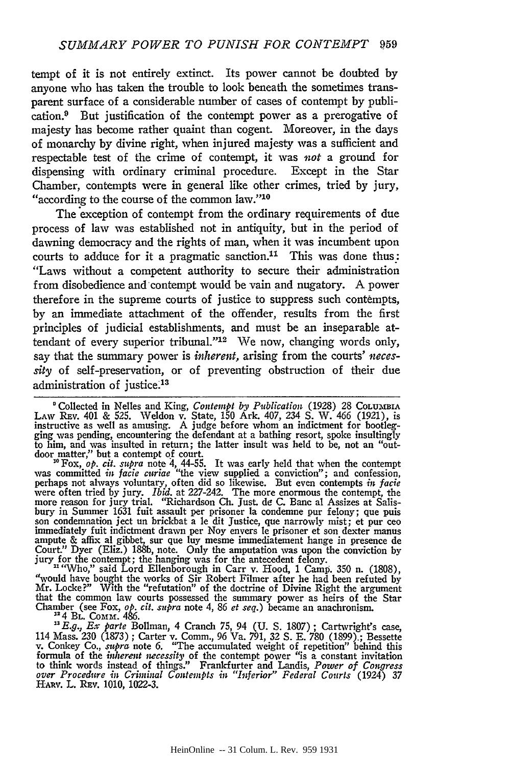tempt of it is not entirely extinct. Its power cannot be doubted by anyone who has taken the trouble to look beneath the sometimes transparent surface of a considerable number of cases of contempt by publication.9 But justification of the contempt power as a prerogative of majesty has become rather quaint than cogent. Moreover, in the days of monarchy by divine right, when injured majesty was a sufficient and respectable test of the crime of contempt, it was *not* a ground for dispensing with ordinary criminal procedure. Except in the Star Chamber, contempts were in general like other crimes, tried by jury, "according to the course of the common law." $10$ 

The exception of contempt from the ordinary requirements of due process of law was established not in antiquity, but in the period of dawning democracy and the rights of man, when it was incumbent upon courts to adduce for it a pragmatic sanction.<sup>11</sup> This was done thus: "Laws without a competent authority to secure their administration from disobedience and contempt would be vain and nugatory. A power therefore in the supreme courts of justice to suppress such contempts, by an immediate attachment of the offender, results from the first principles of judicial establishments, and must be an inseparable attendant of every superior tribunal."<sup>12</sup> We now, changing words only, say that the summary power is *inherent,* arising from the courts' neces*sity* of self-preservation, or of preventing obstruction of their due administration of justice.<sup>13</sup>

'Collected in Nelles and King, *Contempt by Publication* (1928) 28 COLUMBIA LAW REv. 401 & 525. Weldon v. State, 150 Ark. 407, 234 S. IV. 466 (1921), is instructive as well as amusing. **A** judge before whom an indictment for bootlegging was pending, encountering the defendant at a bathing resort, spoke insultingly<br>to him, and was insulted in return; the latter insult was held to be, not an "out-<br>door matter," but a contempt of court.<br><sup>10</sup> Fox, *op.* 

was committed *in facie curiae* "the view supplied a conviction"; and confession, perhaps not always voluntary, often did so likewise. But even contempts in faction were often tried by jury. *Ibid.* at 227-242. The more enormous the contempt, the more reason for jury trial. "Richardson Ch. Just. de C. B bury in Summer 1631 fuit assault per prisoner la condemne pur felony; que puis son condemnation ject un brickbat a le dit Justice, que narrowly mist; et pur ceo immediately fuit indictment drawn per Noy envers le prisoner et son dexter manus ampute & affix al gibbet, sur que luy mesme immediatement hange in presence de

Court." Dyer (Eliz.) 188b, note. Only the amputation was upon the conviction by<br>jury for the contempt; the hanging was for the antecedent felony.<br>""Who," said Lord Ellenborough in Carr v. Hood, 1 Camp. 350 n. (1808),<br>"woul Chamber (see Fox, *op. cit. supra* note 4, **86** *et seq.)* became an anachronism. "4 BL. Coam. 486.

*"E.g., E.v parte* Bollman, 4 Cranch **75,** 94 **(U. S. 1807) ;** Cartwright's case, 114 Mass. 230 (1873); Carter v. Comm., 96 Va. 791, 32 S. E. 780 (1899); Bessette<br>v. Conkey Co., *supra* note 6. "The accumulated weight of repetition" behind this<br>formula of the *inherent necessity* of the contempt power " to think words instead of things." Frankfurter and Landis, *Power of Congress over Procedure in Criminal Contempts in "Inferior" Federal Courts* (1924) 37 HARV. L. REV. 1010, 1022-3.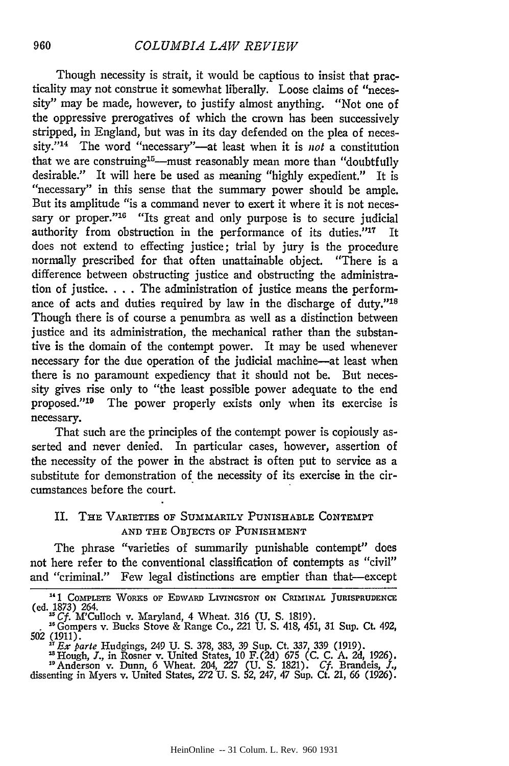Though necessity is strait, it would be captious to insist that practicality may not construe it somewhat liberally. Loose claims of "necessity" may be made, however, to justify almost anything. "Not one of the oppressive prerogatives of which the crown has been successively stripped, in England, but was in its day defended on the plea of necessity."<sup>14</sup> The word "necessary"—at least when it is *not* a constitution that we are construing<sup>15</sup>—must reasonably mean more than "doubtfully" desirable." It will here be used as meaning "highly expedient." It is "necessary" in this sense that the summary power should be ample. But its amplitude "is a command never to exert it where it is not necessary or proper."<sup>16</sup> "Its great and only purpose is to secure judicial authority from obstruction in the performance of its duties."17 does not extend to effecting justice; trial by jury is the procedure normally prescribed for that often unattainable object. "There is a difference between obstructing justice and obstructing the administration of justice. . **.** . The administration of justice means the performance of acts and duties required by law in the discharge of duty."18 Though there is of course a penumbra as well as a distinction between justice and its administration, the mechanical rather than the substantive is the domain of the contempt power. It may be used whenever necessary for the due operation of the judicial machine-at least when there is no paramount expediency that it should not be. But necessity gives rise only to "the least possible power adequate to the end proposed."<sup>19</sup> The power properly exists only when its exercise is necessary.

That such are the principles of the contempt power is copiously asserted and never denied. In particular cases, however, assertion of the necessity of the power in the abstract is often put to service as a substitute for demonstration of the necessity of its exercise in the circumstances before the court.

# II. THE VARIETIES OF SUMMARILY PUNISHABLE CONTEMPT AND THE OBJECTS OF PUNISHMENT

The phrase "varieties of summarily punishable contempt" does not here refer to the conventional classification of contempts as "civil" and "criminal." Few legal distinctions are emptier than that-except

*<sup>&</sup>quot;1* Compi.E' WORKS OF **EDWARD LIVINGSTON ON** CRIMINAL **JURISPRUDENCE**

<sup>(</sup>ed. 1873) 264. *"Cf.* M'Culloch v. Maryland, 4 Wheat. 316 (U. **S.** 1819). " Gompers v. Bucks Stove & Range Co., 221 U. S. 418, 451, 31 Sup. Ct. 492,

<sup>502</sup> **(1911).** *' Ex parte* Hudgings, 249 U. S. 378, 383, 39 Sup. Ct. 337 339 (1919).

<sup>&</sup>lt;sup>13</sup> Hough, J., in Rosner v. United States, 10 F. (2d) 675 (C. C. A. 2d, 1926)<br><sup>19</sup> Anderson v. Dunn, 6 Wheat. 204, 227 (U. S. 1821). *Cf.* Brandeis, J.<br>dissenting in Myers v. United States, 272 U. S. 52, 247, 47 Sup. Ct.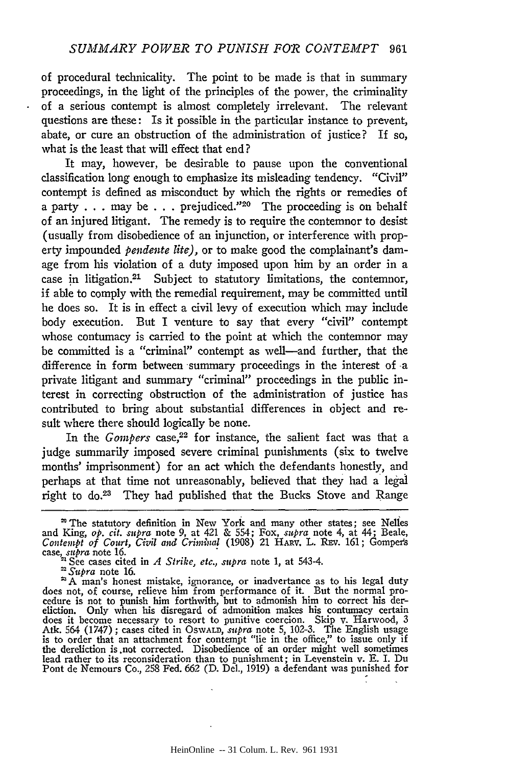of procedural technicality. The point to be made is that in summary proceedings, in the light of the principles of the power, the criminality of a serious contempt is almost completely irrelevant. The relevant questions are these: Is it possible in the particular instance to prevent, abate, or cure an obstruction of the administration of justice? If so, what is the least that will effect that end?

It may, however, be desirable to pause upon the conventional classification long enough to emphasize its misleading tendency. "Civil" contempt is defined as misconduct by which the rights or remedies of a party . . . may be . . . prejudiced."<sup>20</sup> The proceeding is on behalf of an injured litigant. The remedy is to require the contemnor to desist (usually from disobedience of an injunction, or interference with property impounded *pendente lite),* or to make good the complainant's damage from his violation of a duty imposed upon him **by** an order in a case in litigation.21 Subject to statutory limitations, the contemnor, if able to comply with the remedial requirement, may be committed until he does so. It is in effect a civil levy of execution which may include body execution. But I venture to say that every "civil" contempt whose contumacy is carried to the point at which the contemnor may be committed is a "criminal" contempt as well-and further, that the difference in form between summary proceedings in the interest of a private litigant and summary "criminal" proceedings in the public interest in correcting obstruction of the administration of justice has contributed to bring about substantial differences in object and result where there should logically be none.

In the *Gompers* case,<sup>22</sup> for instance, the salient fact was that a judge summarily imposed severe criminal punishments (six to twelve months' imprisonment) for an act which the defendants honestly, and perhaps at that time not unreasonably, believed that they had a legal right to do.<sup>23</sup> They had published that the Bucks Stove and Range

**<sup>-&#</sup>x27;** The statutory definition in New York and many other states; see Nelles and King, *op. cit. supra* note **9,** at 421 & 554; Fox, *supra* note 4, at 44; Beale, *Contempt of Court, Civil and Criminal* **(1908)** 21 HAgv. L. REv. 161; Gompers case, *supra* note **16.**

See cases cited in *A Strike, etc., supra* note 1, at 543-4.

*<sup>&#</sup>x27;Supra* note 16.

<sup>&</sup>lt;sup>8</sup> A man's honest mistake, ignorance, or inadvertance as to his legal duty does not, of course, relieve him from performance of it. But the normal procedure is not to punish him forthwith, but to admonish him to correct his dereliction. Only when his disregard of admonition makes his contumacy certain does it become necessary to resort to punitive coercion. **Skip** v. Harwood, **3** Atk. 564 **(1747) ;** cases cited in **OSWALD,** *supra* note **5, 102-3.** The English usage is to order that an attachment for contempt "lie in the office," to issue only if the dereliction is .not corrected. Disobedience of an order might well sometimes lead rather to its reconsideration than to punishment; in Levenstein v. E. **I. Du** Pont de Nemours Co., **258** Fed. **662 (D.** Del., 1919) a defendant was punished for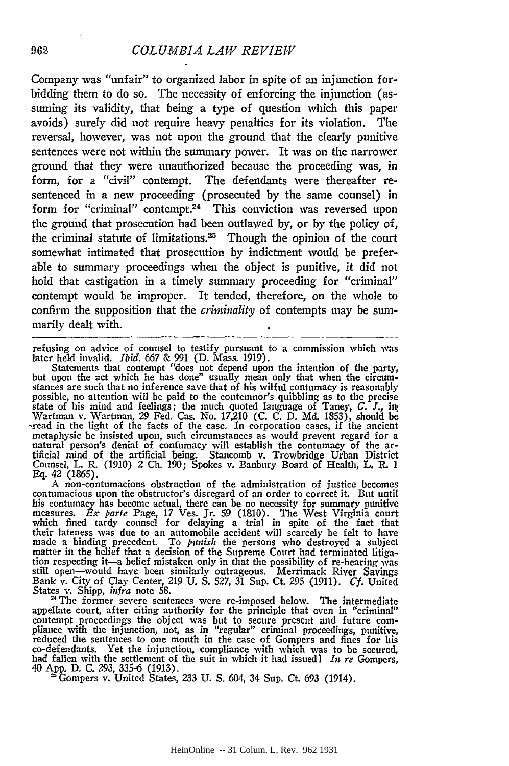#### *COLUMBIA LAW REVIEW*

Company was "unfair" to organized labor in spite of an injunction forbidding them to do so. The necessity of enforcing the injunction (assuming its validity, that being a type of question which this paper avoids) surely did not require heavy penalties for its violation. The reversal, however, was not upon the ground that the clearly punitive sentences were not within the summary power. It was on the narrower ground that they were unauthorized because the proceeding was, in form, for a "civil" contempt. The defendants were thereafter resentenced in a new proceeding (prosecuted **by** the same counsel) in form for "criminal" contempt.24 This conviction was reversed upon the ground that prosecution had been outlawed **by,** or **by** the policy of, the criminal statute of limitations.25 Though the opinion of the court somewhat intimated that prosecution **by** indictment would be preferable to summary proceedings when the object is punitive, it did not hold that castigation in a timely summary proceeding for "criminal" contempt would be improper. It tended, therefore, on the whole to confirm the supposition that the *criminality* of contempts may be summarily dealt with.

refusing on advice of counsel to testify pursuant to a commission which was later held invalid. *Ibid. 667* & 991 (D. Mass. 1919).

Statements that contempt "does not depend upon the intention of the party,<br>but upon the act which he has done" usually mean only that when the circum-<br>stances are such that no inference save that of his wilful contumacy is possible, no attention will be paid to the contemnor's quibbling as to **the** precise state of his mind and feelings; the much quoted language of Taney,  $C$ ,  $J$ , in Wartman v. Wartman, 29 Fed. Cas. No. 17,210 (C. C. D. Md. 1853), should be read in the light of the facts of the case. In corporation cases, if the ancient metaphysic be insisted upon, such circumstances as would prevent regard for a natural person's denial of confumacy will establish the contumacy of the artificial mind of the artificial being. Stancomb v. Trowbridge Urban D **Eq.** 42 (1865).

A non-contumacious obstruction of the administration of justice becomes contumacious upon the obstructor's disregard of an order to correct it. But until his contumacy has become actual, there can be no necessity for summary punitive measures. Ex *parte* Page, 17 Ves. Jr. 59 (1810). The West Virginia court which fined tardy counsel for delaying a trial in spite of the fact that their lateness was due to an automobile accident will scarcely be felt to have made a binding precedent. To *punish* the persons who destroyed a subject matter in the belief that a decision of the Supreme Court had terminated litigamatter in the bester that a decision of the suppreme Court had terminated intga-<br>tion respecting it—a belief misiaken only in that the possibility of re-hearing was<br>still open—would have been similarly outrageous. Merrimac States v. Shipp, *infra* note 58.

The former severe sentences were re-imposed below. The intermediate appellate court, after citing authority for the principle that even in "criminal" contempt proceedings the object was but to secure present and future com- pliance with the injunction, not, as in "regular" criminal proceedings, punitive, reduced the sentences to one month in the case of Gompers and fines for his<br>co-defendants. Yet the injunction, compliance with which was to be secured<br>had fallen with the settlement of the suit in which it had issued  $\lfloor$ 

**'** Gompers v. United States, **233 U. S. 604,** 34 Sup. Ct. **693** (1914).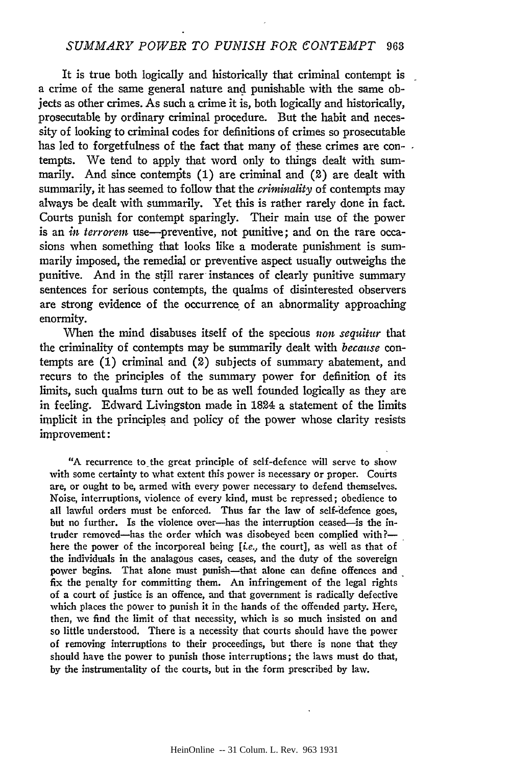# *SUMMARY POWER TO PUNISH FOR CONTEMPT* <sup>963</sup>

It is true both logically and historically that criminal contempt is a crime of the same general nature and punishable with the same objects as other crimes. As such a crime it is, both logically and historically, prosecutable by ordinary criminal procedure. But the habit and necessity of looking to criminal codes for definitions of crimes so prosecutable has led to forgetfulness of the fact that many of these crimes are contempts. We tend to apply that word only to things dealt with summarily. And since contempts  $(1)$  are criminal and  $(2)$  are dealt with summarily, it has seemed to follow that the *criminality* of contempts may always be dealt with summarily. Yet this is rather rarely done in fact. Courts punish for contempt sparingly. Their main use of the power is an *in terrorem* use-preventive, not punitive; and on the rare occasions when something that looks like a moderate punishment is summarily imposed, the remedial or preventive aspect usually outweighs the punitive. And in the still rarer instances of clearly punitive summary sentences for serious contempts, the qualms of disinterested observers are strong evidence of the occurrence of an abnormality approaching enormity.

When the mind disabuses itself of the specious *non sequitur* that the criminality of contempts may be summarily dealt with *because* contempts are (1) criminal and (2) subjects of summary abatement, and recurs to the principles of the summary power for definition of its limits, such qualms turn out to be as well founded logically as they are in feeling. Edward Livingston made in 1824 a statement of the limits implicit in the principles and policy of the power whose clarity resists improvement:

"A recurrence to the great principle of self-defence will serve to show with some certainty to what extent this power is necessary or proper. Courts are, or ought to be, armed with every power necessary to defend themselves. Noise, interruptions, violence of every kind, must be repressed; obedience to all lawful orders must be enforced. Thus far the law of self-defence goes, but no further. Is the violence over-has the interruption ceased-is the intruder removed—has the order which was disobeyed been complied with? here the power of the incorporeal being *[i.e.,* the court], as well as that of the individuals in the analagous cases, ceases, and the duty of the sovereign power begins. That alone must punish-that alone can define offences and **fix** the penalty for committing them. An infringement of the legal rights of a court of justice is an offence, and that government is radically defective which places the power to punish it in the hands of the offended party. Here, then, we find the limit of that necessity, which is so much insisted on and so little understood. There is a necessity that courts should have the power of removing interruptions to their proceedings, but there is none that they should have the power to punish those interruptions; the laws must do that, **by** the instrumentality of the courts, but in the form prescribed **by** law.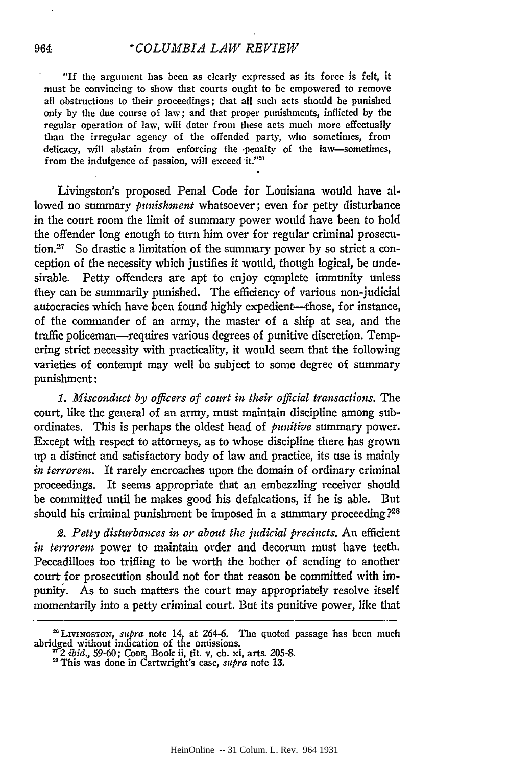## *-COLUMBIA LAW REVIEW*

"If the argument has been as clearly expressed as its force is felt, it must be convincing to show that courts ought to be empowered to remove all obstructions to their proceedings; that all such acts should be punished only **by** the due course of law; and that proper punishments, inflicted **by** the regular operation of law, will deter from these acts much more effectually than the irregular agency of the offended party, who sometimes, from delicacy, will abstain from enforcing the penalty of the law-sometimes, from the indulgence of passion, will exceed it."<sup>24</sup>

Livingston's proposed Penal Code for Louisiana would have allowed no summary *punishment* whatsoever; even for petty disturbance in the court room the limit of summary power would have been to hold the offender long enough to turn him over for regular criminal prosecution.<sup>27</sup> So drastic a limitation of the summary power by so strict a conception of the necessity which justifies it would, though logical, be undesirable. Petty offenders are apt to enjoy complete immunity unless they can be summarily punished. The efficiency of various non-judicial autocracies which have been found highly expedient-those, for instance, of the commander of an army, the master of a ship at sea, and the traffic policeman-requires various degrees of punitive discretion. Tempering strict necessity with practicality, it would seem that the following varieties of contempt may well be subject to some degree of summary punishment:

*1. Misconduct by officers of court in their official transactions.* The court, like the general of an army, must maintain discipline among subordinates. This is perhaps the oldest head of *punitive* summary power. Except with respect to attorneys, as to whose discipline there has grown up a distinct and satisfactory body of law and practice, its use is mainly *in terrorem.* It rarely encroaches upon the domain of ordinary criminal proceedings. It seems appropriate that an embezzling receiver should be committed until he makes good his defalcations, if he is able. But should his criminal punishment be imposed in a summary proceeding **?28**

*2. Petty disturbances in or about the judicial precincts.* An efficient *in* terrorem power to maintain order and decorum must have teeth. Peccadilloes too trifling to be worth the bother of sending to another court for prosecution should not for that reason **be** committed with impunity. As to such matters the court may appropriately resolve itself momentarily into a petty criminal court. But its punitive power, like that

964

LIVINGSTON, *supra* note 14, at 264-6. The quoted passage has been much abridged without indication of the omissions.<br><sup>27</sup> *2 ibid.*, 59-60; CoDE, Book ii, tit. v, ch. xi, arts. 205-8.

This was done in Cartwright's case, *supra* note **13.**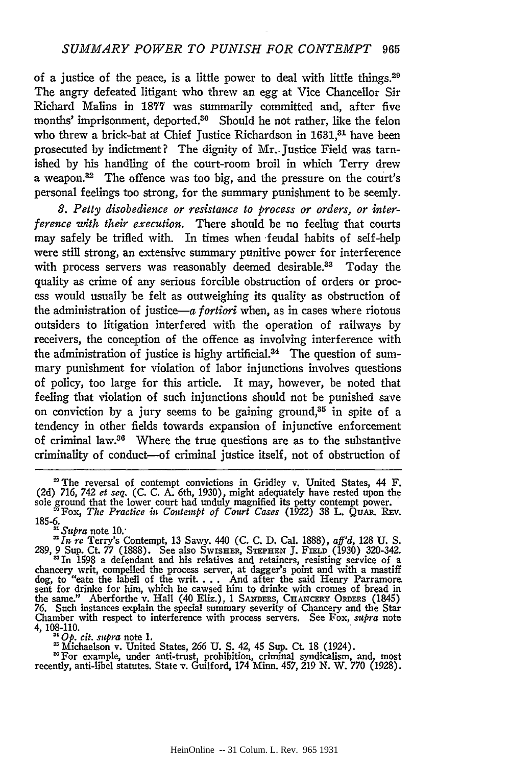of a justice of the peace, is a little power to deal with little things.<sup>29</sup> The angry defeated litigant who threw an egg at Vice Chancellor Sir Richard Malins in 1877 was summarily committed and, after five months' imprisonment, deported.<sup>30</sup> Should he not rather, like the felon who threw a brick-bat at Chief Justice Richardson in 1631,<sup>31</sup> have been prosecuted by indictment? The dignity of Mr. Justice Field was tarnished by his handling of the court-room broil in which Terry drew a weapon.32 The offence was too big, and the pressure on the court's personal feelings too strong, for the summary punishment to be seemly.

**8.** *Petty disobedience or resistance to process or orders, or interference with their execution.* There should be no feeling that courts may safely be trifled with. In times when feudal habits of self-help were still strong, an extensive summary punitive power for interference with process servers was reasonably deemed desirable.<sup>33</sup> Today the quality as crime of any serious forcible obstruction of orders or process would usually be felt as outweighing its quality as obstruction of the administration of justice-a *fortiori* when, as in cases where riotous outsiders to litigation interfered with the operation of railways **by** receivers, the conception of the offence as involving interference with the administration of justice is **highy** artificial.34 The question of summary punishment for violation of labor injunctions involves questions of policy, too large for this article. It may, however, be noted that feeling that violation of such injunctions should not be punished save on conviction by a jury seems to be gaining ground,<sup>35</sup> in spite of a tendency in other fields towards expansion of injunctive enforcement of criminal law.<sup>36</sup> Where the true questions are as to the substantive criminality of conduct-of criminal justice itself, not of obstruction of

<sup>29</sup> The reversal of contempt convictions in Gridley v. United States, 44 F. (2d) 716, 742 *et seq.* **(C. C. A.** 6th, 1930), might adequately have rested upon the sole ground that the lower court had unduly magnified its petty contempt power.

 $^{58}$  Fox, *The Practice in Contempt of Court Cases* (1922) 38 L. QuAR. REV.

185-6.<br>
<sup>28</sup> Supra note 10.<br>
<sup>28</sup> In re Terry's Contempt, 13 Sawy. 440 (C. C. D. Cal. 1888), aff'd, 128 U. S.<br>
289, 9 Sup. Ct. 77 (1888). See also Swisher, Stephen J. Field (1930) 320-342 <sup>33</sup> In 1598 a defendant and his relatives and retainers, resisting service of a chancery writ, compelled the process server, at dagger's point and with a mastiff dog, to "eate the labell of the writ. . **.** . And after the said Henry Parramore sent for drinke for him, which he cawsed him to drinke with cromes of bread in the same." Aberforthe v. Hall (40 Eliz.), 1 **SANDERS, CHANCERY** ORDERS (1845) 76. Such instances explain the special summary severity of Chancery and the Star Chamber with respect to interference with process servers. See Fox, *supra* note 4,108-110. <sup>34</sup>*Op. cit. supra* note 1. "Michaelson v. United States, 266 U. **S.** 42, 45 Sup. Ct. 18 (1924).

<sup>24</sup> For example, under anti-trust, prohibition, criminal syndicalism, and, most<br>recently, anti-libel statutes. State v. Guilford, 174 Minn. 457, 219 N. W. 770 (1928).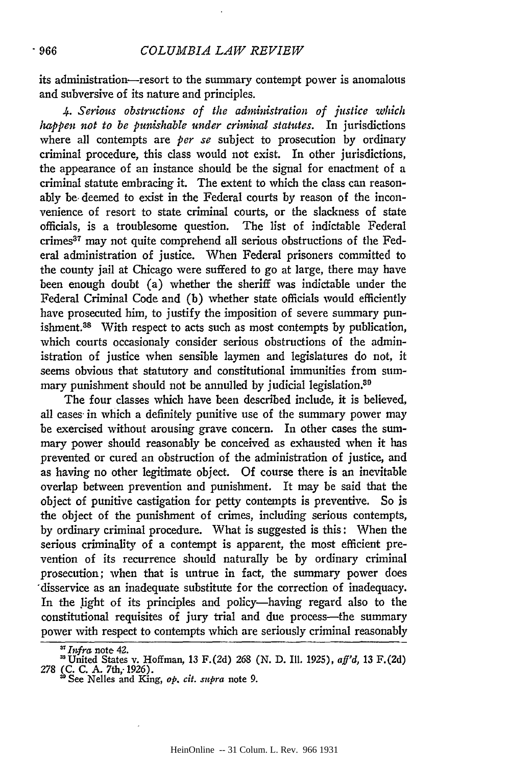its administration—resort to the summary contempt power is anomalous and subversive of its nature and principles.

*4. Serious obstructions of the administration of justice which happen not to be punishable under criminal statutes.* In jurisdictions where all contempts are *per se* subject to prosecution **by** ordinary criminal procedure, this class would not exist. In other jurisdictions, the appearance of an instance should be the signal for enactment of a criminal statute embracing it. The extent to which the class can reasonably be deemed to exist in the Federal courts **by** reason of the inconvenience of resort to state criminal courts, or the slackness of state officials, is a troublesome question. The list of indictable Federal crimes $37$  may not quite comprehend all serious obstructions of the Federal administration of justice. When Federal prisoners committed to the county jail at Chicago were suffered to go at large, there may have been enough doubt (a) whether the sheriff was indictable under the Federal Criminal Code and (b) whether state officials would efficiently have prosecuted him, to justify the imposition of severe summary punishment.38 With respect to acts such as most contempts **by** publication, which courts occasionaly consider serious obstructions of the administration of justice when sensible laymen and legislatures do not, it seems obvious that statutory and constitutional immunities from summary punishment should not be annulled **by** judicial legislation.8"

The four classes which have been described include, it is believed, all cases in which a definitely punitive use of the summary power may be exercised without arousing grave concern. In other cases the summary power should reasonably be conceived as exhausted when it has prevented or cured an obstruction of the administration of justice, and as having no other legitimate object. Of course there is an inevitable overlap between prevention and punishment. It may be said that the object of punitive castigation for petty contempts is preventive. So is the object of the punishment of crimes, including serious contempts, **by** ordinary criminal procedure. What is suggested is this: When the serious criminality of a contempt is apparent, the most efficient prevention of its recurrence should naturally be **by** ordinary criminal prosecution; when that is untrue in fact, the summary power does 'disservice as an inadequate substitute for the correction of inadequacy. In the light of its principles and policy-having regard also to the constitutional requisites of jury trial and due process-the summary power with respect to contempts which are seriously criminal reasonably

*<sup>3</sup> "Infra* note 42.

<sup>&#</sup>x27;United States v. Hoffman, 13 F.(2d) *268* (N. D. Ill. 1925), *aff'd,* 13 F.(2d) 278 LC. C. A. 7th,- 1926). See Nelles and King, *op. cit. supra* note 9.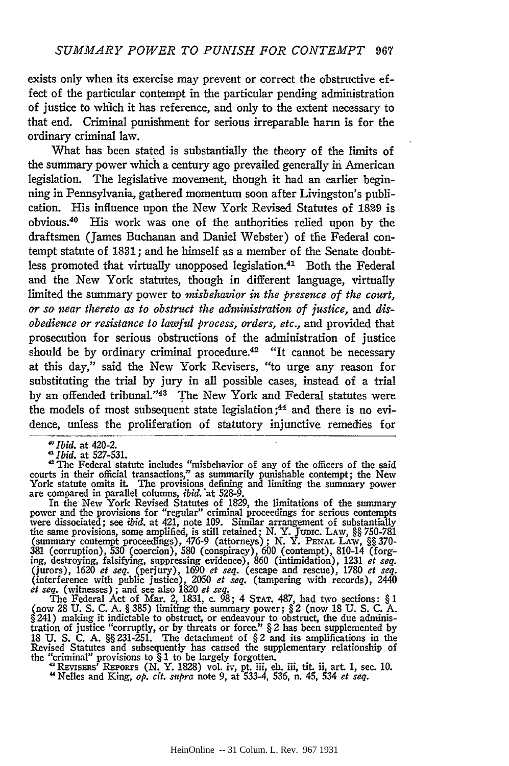exists only when its exercise may prevent or correct the obstructive effect of the particular contempt in the particular pending administration of justice to which it has reference, and only to the extent necessary to that end. Criminal punishment for serious irreparable harm is for the ordinary criminal law.

What has been stated is substantially the theory of the limits of the summary power which a century ago prevailed generally in American legislation. The legislative movement, though it had an earlier beginning in Pennsylvania, gathered momentum soon after Livingston's publication. His influence upon the New York Revised Statutes of 1829 is obvious.40 His work was one of the authorities relied upon by the draftsmen (James Buchanan and Daniel Webster) of the Federal contempt statute of 1831; and he himself as a member of the Senate doubtless promoted that virtually unopposed legislation.<sup>41</sup> Both the Federal and the New York statutes, though in different language, virtually limited the summary power to *misbehavior in the presence of the court, or* **so** *near thereto as to obstruct the administration of justice, and disobedience or resistance to lawful process, orders, etc.,* and provided that prosecution for serious obstructions of the administration of justice should be by ordinary criminal procedure.<sup>42</sup> "It cannot be necessary at this day," said the New York Revisers, "to urge any reason for substituting the trial **by** jury in all possible cases, instead of a trial **by** an offended tribunal. '48 The New York and Federal statutes were the models of most subsequent state legislation;<sup>44</sup> and there is no evidence, unless the proliferation of statutory injunctive remedies for

The Federal statute includes "misbehavior of any of the officers of the said courts in their official transactions," as summarily punishable contempt; the New York statute omits it. The provisions defining and limiting the summary power

are compared in parallel columns, *ibid*. at 528-9.<br>In the New York Revised Statutes of 1829, the limitations of the summary<br>power and the provisions for "regular" criminal proceedings for serious contempts<br>were dissociate the same provisions, some amplified, is still retained; **N.** Y. Junc. LAw, §§ 750-781 (summary contempt proceedings), 476-9 (attorneys); N. Y. PENAL LAW, §§ 370- 381 (corruption), 530 (coercion), 580 (conspiracy), 600 (contempt), 810-14 (forging, destroying, falsifying, suppressing evidence), **860** (intimidation), 1231 *et seq.* (jurors), 1620 *et seq.* (perjury), 1690 *et seq.* (escape and rescue), 1780 *et seq.* (interference with public justice), 2050 *et seq.* (tampering with records), 2440 *et seq.* (witnesses) ; and see also 1820 *et seq.*

The Federal Act of Mar. 2, 1831, c. 98; 4 **STAT.** 487, had two sections: § 1 (now **28** U. S. C. A. § 385) limiting the summary power; § 2 (now 18 U. S. C. A. § 241) making it indictable to obstruct, or endeavour to obstruct, the due administration of justice "corruptly, or by threats or force." § 2 has been supplemented by 18 U. S. C. A. §§ 231-251. The detachment of § 2 and its amplifications in the Revised Statutes and subsequently has caused the supplementary relationship of

the "criminal" provisions to  $\S 1$  to be largely forgotten.<br>
"REVISERS' REPORTS (N. Y. 1828) vol. iv, pt. iii, eh. iii, tit. ii, art. 1, sec. 10.<br>
"Nelles and King, *op. cit. supra* note 9, at 533-4, 536, n. 45, 534 *et s* 

*<sup>11</sup> Ibid.* at 420-2. *'*

*1lbid.* at **527-531.**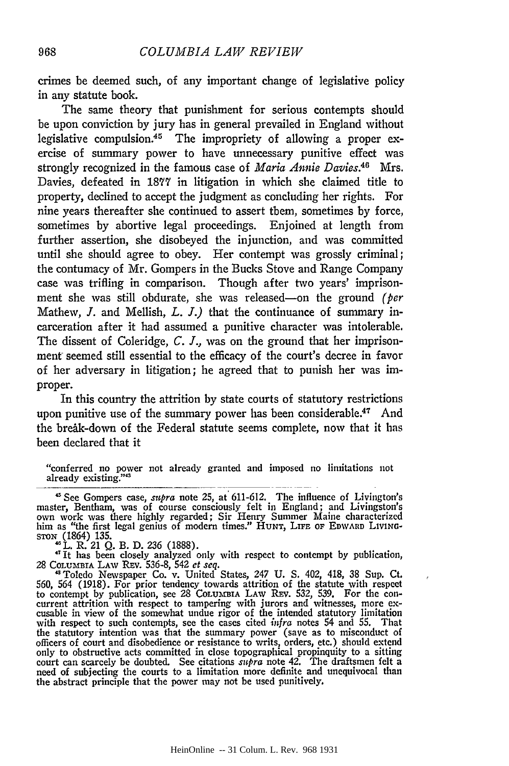crimes be deemed such, of any important change of legislative policy in any statute book.

The same theory that punishment for serious contempts should be upon conviction by jury has in general prevailed in England without legislative compulsion.<sup>45</sup> The impropriety of allowing a proper exercise of summary power to have unnecessary punitive effect was strongly recognized in the famous case of Maria Annie *Davies.40* Mrs. Davies, defeated in **1877** in litigation in which she claimed title to property, declined to accept the judgment as concluding her rights. For nine years thereafter she continued to assert them, sometimes by force, sometimes by abortive legal proceedings. Enjoined at length from further assertion, she disobeyed the injunction, and was committed until she should agree to obey. Her contempt was grossly criminal; the contumacy of Mr. Gompers in the Bucks Stove and Range Company case was trifling in comparison. Though after two years' imprisonment she was still obdurate, she was released-on the ground *(per* Mathew, **J.** and Mellish, *L. J.)* that the continuance of summary incarceration after it had assumed a punitive character was intolerable. The dissent of Coleridge, *C.* **J.,** was on the ground that her imprisonment seemed still essential to the efficacy of the court's decree in favor of her adversary in litigation; he agreed that to punish her was improper.

In this country the attrition by state courts of statutory restrictions upon punitive use of the summary power has been considerable.<sup>47</sup> And the break-down of the Federal statute seems complete, now that it has been declared that it

 $\epsilon$ 

<sup>&</sup>quot;conferred no power not already granted and imposed no limitations not edificial no power

<sup>&#</sup>x27;See Gompers case, *supra* note **25,** at **611-612.** The influence of Livington's master, Bentham, was of course consciously felt in England; and Livingston's<br>own work was there highly regarded; Sir Henry Summer Maine characterized<br>him as "the first legal genius of modern times." HUNT, LIFE OF EDWARD LI

**<sup>28</sup>**COLUMBIA LAW REv. 536-8, 542 **et** *seq.* " Toledo Newspaper Co. v. United States, 247 U. **S.** 402, 418, 38 Sup. Ct.

<sup>560, 564 (1918).</sup> For prior tendency towards attrition of the statute with respec to contempt by publication, see 28 COLUMBIA LAW REV. 532, 539. For the concurrent attrition with respect to tampering with jurors and witnesses, more excusable in view of the somewhat undue rigor of the intended statutory With respect to such contempts, see the cases cited *infra* notes 54 and 55. That the statutory intention was that the summary power (save as to misconduct of officers of court and disobedience or resistance to writs, orders, etc.) should extend only to obstructive acts committed in close topographical propinquity to a sitting court can scarcely be doubted. See citations *supra* note 42. The draftsmen felt a need of subjecting the courts to a limitation more definite and unequivocal than the abstract principle that the power may not be used punitively.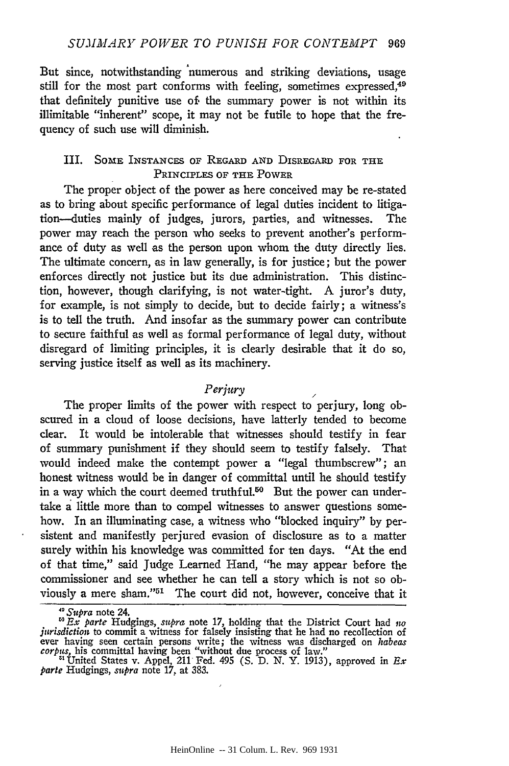## *SUMMARY POWER TO PUNISH FOR CONTEMPT 969*

But since, notwithstanding numerous and striking deviations, usage still for the most part conforms with feeling, sometimes expressed,<sup>49</sup> that definitely punitive use *of,* the summary power is not within its illimitable "inherent" scope, it may not be futile to hope that the frequency of such use will diminish.

## III. **SOME** INSTANCES OF REGARD AND DISREGARD FOR THE PRINCIPLES OF THE POWER

The proper object of the power as here conceived may be re-stated as to bring about specific performance of legal duties incident to litigation-duties mainly of judges, jurors, parties, and witnesses. The power may reach the person who seeks to prevent another's performance of duty as well as the person upon whom the duty directly lies. The ultimate concern, as in law generally, is for justice; but the power enforces directly not justice but its due administration. This distinction, however, though clarifying, is not water-tight. A juror's duty, for example, is not simply to decide, but to decide fairly; a witness's is to tell the truth. And insofar as the summary power can contribute to secure faithful as well as formal performance of legal duty, without disregard of limiting principles, it is clearly desirable that it do so, serving justice itself as well as its machinery.

#### *Perjury*

The proper limits of the power with respect to perjury, long obscured in a cloud of loose decisions, have latterly tended to become clear. It would be intolerable that witnesses should testify in fear of summary punishment if they should seem to testify falsely. That would indeed make the contempt power a "legal thumbscrew"; an honest witness would be in danger of committal until he should testify in a way which the court deemed truthful.<sup>50</sup> But the power can undertake a little more than to compel witnesses to answer questions somehow. In an illuminating case, a witness who "blocked inquiry" **by** persistent and manifestly perjured evasion of disclosure as to a matter surely within his knowledge was committed for ten days. "At the end of that time," said Judge Learned Hand, "he may appear before the commissioner and see whether he can tell a story which is not so obviously a mere sham."5' The court did not, however, conceive that it

*<sup>&#</sup>x27;Supra* note 24.

*<sup>&#</sup>x27;Ex parte* Hudgings, *supra* note **17,** holding that the District Court had *iw jurisdiction* to commit a witness for falsely insisting that he had no recollection of ever having seen certain persons write; the witness was discharged on *habeas corpus,* his committal having been "without due process of law." "'United States v. Appel, 211 Fed. 495 (S. **D. N.** Y. 1913), approved in *Ex*

*parte* Hudgings, *supra* note 17, at 383.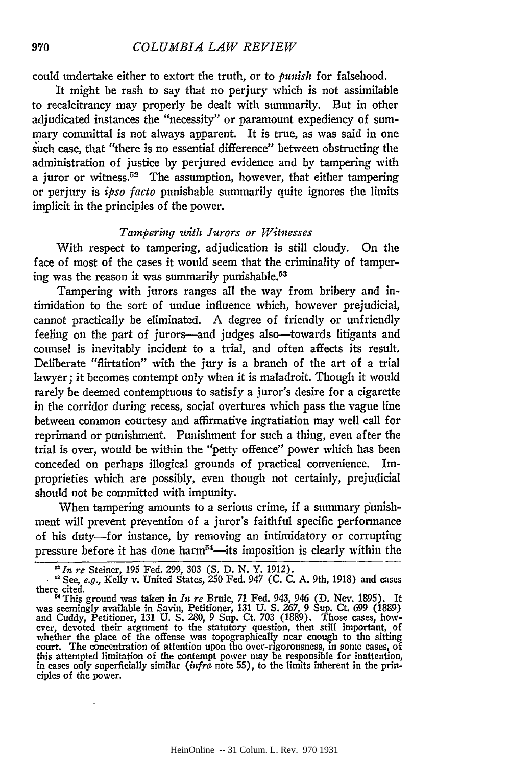could undertake either to extort the truth, or to *punish* for falsehood.

It might be rash to say that no perjury which is not assimilable to recalcitrancy may properly be dealt with summarily. But in other adjudicated instances the "necessity" or paramount expediency of summary committal is not always apparent. It is true, as was said in one such case, that "there is no essential difference" between obstructing the administration of justice by perjured evidence and by tampering with a juror or witness.<sup>52</sup> The assumption, however, that either tampering or perjury is *ipso facto* punishable summarily quite ignores the limits implicit in the principles of the power.

#### *Tampering with Jurors or Witnesses*

With respect to tampering, adjudication is still cloudy. On the face of most of the cases it would seem that the criminality of tampering was the reason it was summarily punishable.<sup>53</sup>

Tampering with jurors ranges all the way from bribery and intimidation to the sort of undue influence which, however prejudicial, cannot practically be eliminated. A degree of friendly or unfriendly feeling on the part of jurors-and judges also-towards litigants and counsel is inevitably incident to a trial, and often affects its result. Deliberate "flirtation" with the jury is a branch of the art of a trial lawyer; it becomes contempt only when it is maladroit. Though it would rarely be deemed contemptuous to satisfy a juror's desire for a cigarette in the corridor during recess, social overtures which pass the vague line between common courtesy and affirmative ingratiation may well call for reprimand or punishment. Punishment for such a thing, even after the trial is over, would be within the "petty offence" power which has been conceded on perhaps illogical grounds of practical convenience. Improprieties which are possibly, even though not certainly, prejudicial should not be committed with impunity.

When tampering amounts to a serious crime, if a summary punishment will prevent prevention of a juror's faithful specific performance of his duty-for instance, by removing an intimidatory or corrupting pressure before it has done harm<sup> $54$ </sup>—its imposition is clearly within the

<sup>&</sup>lt;sup>12</sup> In re Steiner, 195 Fed. 299, 303 (S. D. N. Y. 1912).<br><sup>12</sup> See, e.g., Kelly v. United States, 250 Fed. 947 (C. C. A. 9th, 1918) and cases **'** See, *e.g.,* Kelly v. United States, **250** Fed. 947 (C. C. A. 9th, 1918) and cases there cited.

<sup>&</sup>lt;sup>14</sup> This ground was taken in *In re* Brule, 71 Fed. 943, 946 (D. Nev. 1895). It was seemingly available in Savin, Petitioner, 131 U. S. 267, 9 Sup. Ct. 699 (1889) and Cuddy, Petitioner, 131 U. S. 280, 9 Sup. Ct. 703 (188 ever, devoted their argument to the statutory question, then still important, of whether the place of the offense was topographically near enough to the sitting<br>court. The concentration of attention upon the over-rigorousness, in some cases, of<br>this attempted limitation of the contempt power may be res ciples of the power.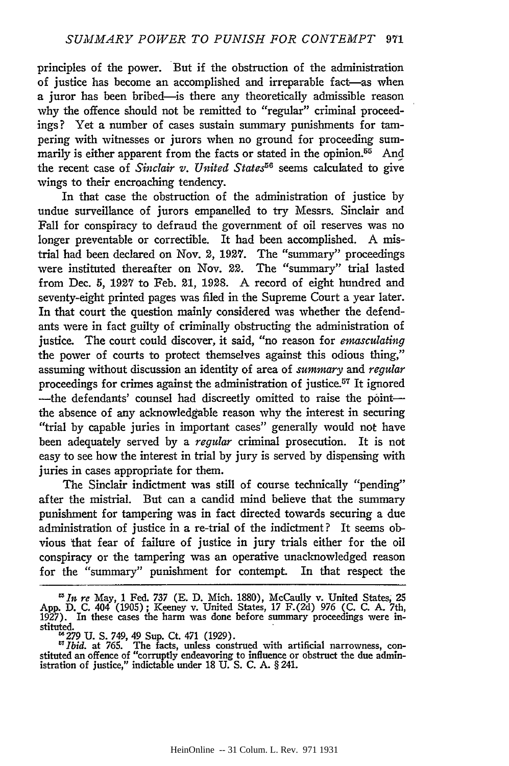principles of the power. But if the obstruction of the administration of justice has become an accomplished and irreparable fact-as when a juror has been bribed-is there any theoretically admissible reason why the offence should not be remitted to "regular" criminal proceedings? Yet a number of cases sustain summary punishments for tampering with witnesses or jurors when no ground for proceeding summarily is either apparent from the facts or stated in the opinion.<sup>55</sup> And the recent case of *Sinclair v. United States56* seems calculated to give wings to their encroaching tendency.

In that case the obstruction of the administration of justice by undue surveillance of jurors empanelled to try Messrs. Sinclair and Fall for conspiracy to defraud the government of oil reserves was no longer preventable or correctible. It had been accomplished. A mistrial had been declared on Nov. 2, 1927. The "summary" proceedings were instituted thereafter on Nov. 22. The "summary" trial lasted from Dec. *5,* 1927 to Feb. 21, 1928. A record of eight hundred and seventy-eight printed pages was filed in the Supreme Court a year later. In that court the question mainly considered was whether the defendants were in fact guilty of criminally obstructing the administration of justice. The court could discover, it said, "no reason for *emasculating* the power of courts to protect themselves against this odious thing," assuming without discussion an identity of area of *summary* and *regular* proceedings for crimes against the administration of justice.57 It ignored -the defendants' counsel had discreetly omitted to raise the pointthe absence of any acknowledgable reason why the interest in securing "trial by capable juries in important cases" generally would not have been adequately served by a *regular* criminal prosecution. It is not easy to see how the interest in trial by jury is served by dispensing with juries in cases appropriate for them.

The Sinclair indictment was still of course technically "pending" after the mistrial. But can a candid mind believe that the summary punishment for tampering was in fact directed towards securing a due administration of justice in a re-trial of the indictment? It seems obvious that fear of failure of justice in jury trials either for the oil conspiracy or the tampering was an operative unacknowledged reason for the "summary" punishment for contempt. In that respect the

*In re* May, 1 Fed. **737** (E. **D.** Mich. 1880), McCaully v. United States, **25** App. D. C. 404 (1905); Keeney v. United States, **17** F.(2d) **976** (C. C. A. 7th, 1927). In these cases the harm was done before summary proceedings were instituted.

**M279** U. **S.** *749,* 49 Sup. Ct. 471 (1929).

<sup>&</sup>lt;sup>17</sup>*Ibid.* at 765. The facts, unless construed with artificial narrowness, constituted an offence of "corruptly endeavoring to influence or obstruct the due administration of justice," indictable under 18 U. S. C. A. § 241.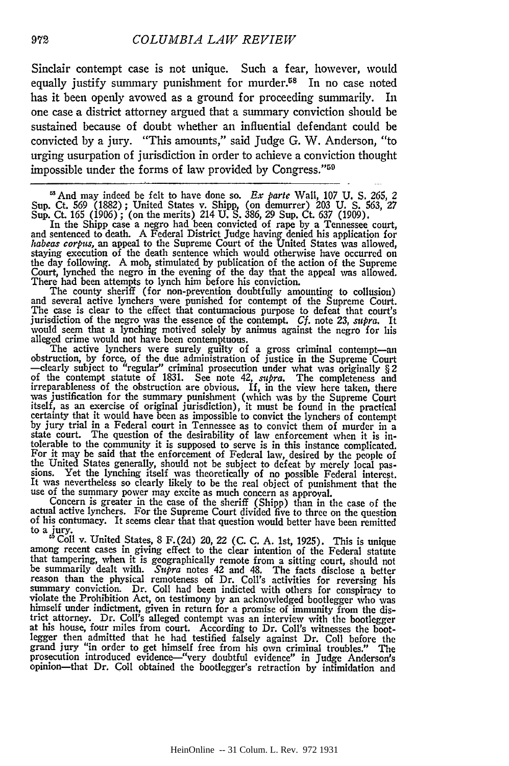Sinclair contempt case is not unique. Such a fear, however, would equally justify summary punishment for murder.<sup>58</sup> In no case noted has it been openly avowed as a ground for proceeding summarily. In one case a district attorney argued that a summary conviction should be sustained because of doubt whether an influential defendant could be convicted by a jury. "This amounts," said Judge **G.** W. Anderson, "to urging usurpation of jurisdiction in order to achieve a conviction thought impossible under the forms of law provided by Congress."<sup>59</sup>

<sup>48</sup> And may indeed be felt to have done so. *Ex parte* Wall, 107 U. S. 265, 2<br>Sup. Ct. 569 (1882); United States v. Shipp, (on demurrer) 203 U. S. 563, 27<br>Sup. Ct. 165 (1906); (on the merits) 214 U. S. 386, 29 Sup. Ct. 6

habeas corpus, an appeal to the Supreme Court of the United States was allowed, staying execution of the death sentence which would otherwise have occurred on the day following. A mob, stimulated by publication of the acti

The county sheriff (for non-prevention doubtfully amounting to collusion) and several active lynchers were punished for contempt of the Supreme Court. The case is clear to the effect that contumacious purpose to defeat that court's jurisdiction of the negro was the essence of the contempt. *Cf.* note **23,** *supra.* It would seem that a lynching motived solely **by** animus against the negro for his

alleged crime would not have been contemptuous.<br>The active lynchers were surely guilty of a gross criminal contempt—an<br>obstruction, by force, of the due administration of justice in the Supreme Court<br>—clearly subject to "r certainty that it would have been as impossible to convict the lynchers of contempt<br>by jury trial in a Federal court in Tennessee as to convict them of murder in a<br>state court. The question of the desirability of law enfor tolerable to the community it is supposed to serve is in this instance complicated. For it may be said that the enforcement of Federal law, desired **by** the people of the United States generally, should not be subject to defeat **by** merely local pas- sions. Yet the lynching itself was theoretically of no possible Federal interest. It was nevertheless so clearly likely to be the real object of punishment that the<br>use of the summary power may excite as much concern as approval.<br>Concern is greater in the case of the sheriff (Shipp) than in the case of

Concern is greater in the case of the sheriff (Shipp) than in the case of the actual active lynchers. For the Supreme Court divided five to three on the question of his contumacy. It seems clear that that question would be to a jury. **'Coll** v. United States, **8** F. **(2d)** 20, 22 **(C. C. A.** 1st, **1925).** This is unique

among recent cases in giving effect to the clear intention of the Federal statute<br>that tampering, when it is geographically remote from a sitting court, should not be summarily dealt with. *Supra* notes 42 and 48. The facts disclose a better reason than the physical remoteness of Dr. Coll's activities for reversing his summary conviction. Dr. Coll had been indicted with others for conspiracy to violate the Prohibition Act, on testimony by an acknowledged bootlegger who was violate the Prohibition Act, on testimony **by** an acknowledged bootlegger **who** was himself under indictment, given in return for a promise of immunity from the district attorney. Dr. Coll's alleged contempt was an interview with the bootlegge at his house, four miles from court. According to Dr. Coll's witnesses the bootlegger then admitted that he had testified falsely against Dr. Coll before the<br>grand jury "in order to get himself free from his own criminal troubles." The<br>prosecution introduced evidence—"very doubtful evidence" in Judge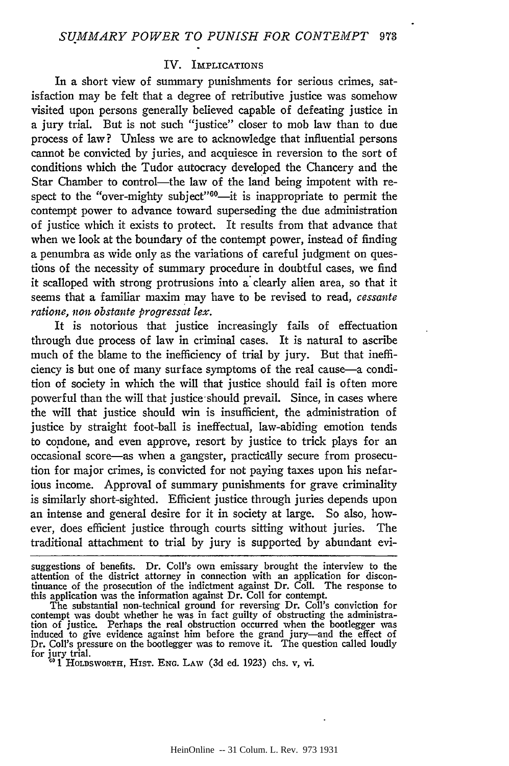## IV. IMPLICATIONS

In a short view of summary punishments for serious crimes, satisfaction may be felt that a degree of retributive justice was somehow visited upon persons generally believed capable of defeating justice in a jury trial. But is not such "justice" closer to mob law than to due process of law? I'hless we are to acknowledge that influential persons cannot be convicted by juries, and acquiesce in reversion to the sort of conditions which the Tudor autocracy developed the Chancery and the Star Chamber to control—the law of the land being impotent with respect to the "over-mighty subject" $60$ —it is inappropriate to permit the contempt power to advance toward superseding the due administration of justice which it exists to protect. It results from that advance that when we look at the boundary of the contempt power, instead of finding a penumbra as wide only as the variations of careful judgment on questions of the necessity of summary procedure in doubtful cases, we find it scalloped with strong protrusions into a clearly alien area, so that it seems that a familiar maxim may have to be revised to read, *cessante ratione, non obstante progressat lex.*

It is notorious that justice increasingly fails of effectuation through due process of law in criminal cases. It is natural to ascribe much of the blame to the inefficiency of trial by jury. But that inefficiency is but one of many surface symptoms of the real cause-a condition of society in which the will that justice should fail is often more powerful than the will that justice-should prevail. Since, in cases where the will that justice should win is insufficient, the administration of justice by straight foot-ball is ineffectual, law-abiding emotion tends to condone, and even approve, resort by justice to trick plays for an occasional score-as when a gangster, practically secure from prosecution for major crimes, is convicted for not paying taxes upon his nefarious income. Approval of summary punishments for grave criminality is similarly short-sighted. Efficient justice through juries depends upon an intense and general desire for it in society at large. So also, however, does efficient justice through courts sitting without juries. The traditional attachment to trial by jury is supported by abundant evi-

suggestions of benefits. Dr. Coil's own emissary brought the interview to the attention of the district attorney in connection with an application for discon-tinuance of the prosecution of the indictment against Dr. Coll. The response to this application was the information against Dr. Coll for contempt. The substantial non-technical ground for reversing Dr. Coil's conviction for

contempt was doubt whether he was in fact guilty of obstructing the administration of justice. Perhaps the real obstruction occurred when the bootlegger was induced to give evidence against him before the grand jury—and the effect of Dr. Coll's pressure on the bootlegger was to remove it. The question called loudly for jury trial. 1 HoLDSWoRTH, HIsT. **ENG.** LAW (3d ed. 1923) chs. v, vi.